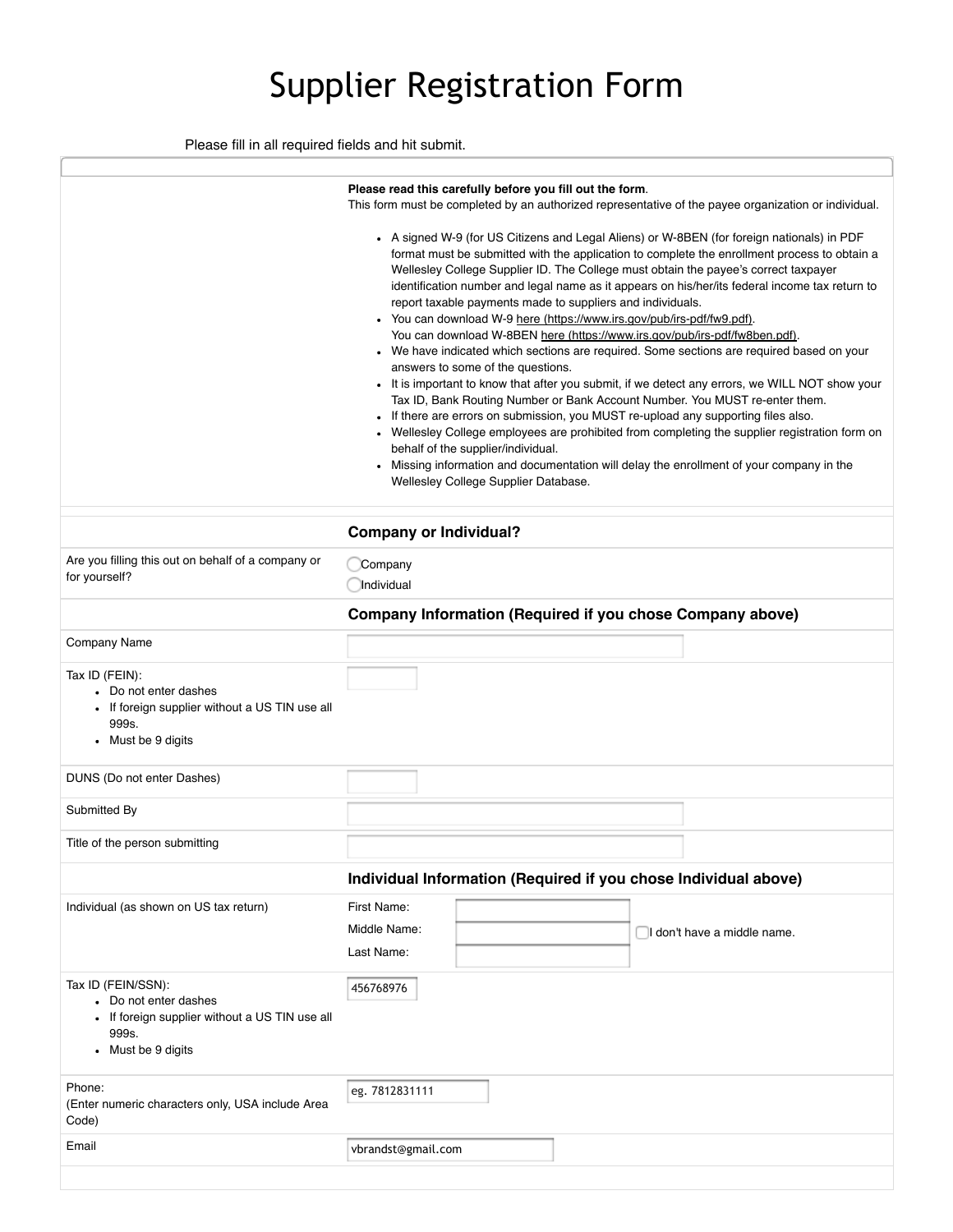## Supplier Registration Form

Please fill in all required fields and hit submit.

|                                                                                                                              | Please read this carefully before you fill out the form.<br>This form must be completed by an authorized representative of the payee organization or individual.<br>• A signed W-9 (for US Citizens and Legal Aliens) or W-8BEN (for foreign nationals) in PDF<br>format must be submitted with the application to complete the enrollment process to obtain a<br>Wellesley College Supplier ID. The College must obtain the payee's correct taxpayer<br>identification number and legal name as it appears on his/her/its federal income tax return to<br>report taxable payments made to suppliers and individuals.<br>• You can download W-9 here (https://www.irs.gov/pub/irs-pdf/fw9.pdf).<br>You can download W-8BEN here (https://www.irs.gov/pub/irs-pdf/fw8ben.pdf).<br>• We have indicated which sections are required. Some sections are required based on your<br>answers to some of the questions.<br>• It is important to know that after you submit, if we detect any errors, we WILL NOT show your<br>Tax ID, Bank Routing Number or Bank Account Number. You MUST re-enter them.<br>If there are errors on submission, you MUST re-upload any supporting files also.<br>Wellesley College employees are prohibited from completing the supplier registration form on |                             |
|------------------------------------------------------------------------------------------------------------------------------|---------------------------------------------------------------------------------------------------------------------------------------------------------------------------------------------------------------------------------------------------------------------------------------------------------------------------------------------------------------------------------------------------------------------------------------------------------------------------------------------------------------------------------------------------------------------------------------------------------------------------------------------------------------------------------------------------------------------------------------------------------------------------------------------------------------------------------------------------------------------------------------------------------------------------------------------------------------------------------------------------------------------------------------------------------------------------------------------------------------------------------------------------------------------------------------------------------------------------------------------------------------------------------------|-----------------------------|
|                                                                                                                              | behalf of the supplier/individual.<br>Missing information and documentation will delay the enrollment of your company in the                                                                                                                                                                                                                                                                                                                                                                                                                                                                                                                                                                                                                                                                                                                                                                                                                                                                                                                                                                                                                                                                                                                                                          |                             |
|                                                                                                                              | Wellesley College Supplier Database.                                                                                                                                                                                                                                                                                                                                                                                                                                                                                                                                                                                                                                                                                                                                                                                                                                                                                                                                                                                                                                                                                                                                                                                                                                                  |                             |
|                                                                                                                              |                                                                                                                                                                                                                                                                                                                                                                                                                                                                                                                                                                                                                                                                                                                                                                                                                                                                                                                                                                                                                                                                                                                                                                                                                                                                                       |                             |
|                                                                                                                              | <b>Company or Individual?</b>                                                                                                                                                                                                                                                                                                                                                                                                                                                                                                                                                                                                                                                                                                                                                                                                                                                                                                                                                                                                                                                                                                                                                                                                                                                         |                             |
| Are you filling this out on behalf of a company or<br>for yourself?                                                          | Company<br>Individual                                                                                                                                                                                                                                                                                                                                                                                                                                                                                                                                                                                                                                                                                                                                                                                                                                                                                                                                                                                                                                                                                                                                                                                                                                                                 |                             |
|                                                                                                                              | Company Information (Required if you chose Company above)                                                                                                                                                                                                                                                                                                                                                                                                                                                                                                                                                                                                                                                                                                                                                                                                                                                                                                                                                                                                                                                                                                                                                                                                                             |                             |
| <b>Company Name</b>                                                                                                          |                                                                                                                                                                                                                                                                                                                                                                                                                                                                                                                                                                                                                                                                                                                                                                                                                                                                                                                                                                                                                                                                                                                                                                                                                                                                                       |                             |
| Tax ID (FEIN):<br>• Do not enter dashes<br>• If foreign supplier without a US TIN use all<br>999s.<br>• Must be 9 digits     |                                                                                                                                                                                                                                                                                                                                                                                                                                                                                                                                                                                                                                                                                                                                                                                                                                                                                                                                                                                                                                                                                                                                                                                                                                                                                       |                             |
| DUNS (Do not enter Dashes)                                                                                                   |                                                                                                                                                                                                                                                                                                                                                                                                                                                                                                                                                                                                                                                                                                                                                                                                                                                                                                                                                                                                                                                                                                                                                                                                                                                                                       |                             |
| Submitted By                                                                                                                 |                                                                                                                                                                                                                                                                                                                                                                                                                                                                                                                                                                                                                                                                                                                                                                                                                                                                                                                                                                                                                                                                                                                                                                                                                                                                                       |                             |
| Title of the person submitting                                                                                               |                                                                                                                                                                                                                                                                                                                                                                                                                                                                                                                                                                                                                                                                                                                                                                                                                                                                                                                                                                                                                                                                                                                                                                                                                                                                                       |                             |
|                                                                                                                              | Individual Information (Required if you chose Individual above)                                                                                                                                                                                                                                                                                                                                                                                                                                                                                                                                                                                                                                                                                                                                                                                                                                                                                                                                                                                                                                                                                                                                                                                                                       |                             |
| Individual (as shown on US tax return)                                                                                       | First Name:<br>Middle Name:<br>Last Name:                                                                                                                                                                                                                                                                                                                                                                                                                                                                                                                                                                                                                                                                                                                                                                                                                                                                                                                                                                                                                                                                                                                                                                                                                                             | I don't have a middle name. |
| Tax ID (FEIN/SSN):<br>• Do not enter dashes<br>• If foreign supplier without a US TIN use all<br>999s.<br>• Must be 9 digits | 456768976                                                                                                                                                                                                                                                                                                                                                                                                                                                                                                                                                                                                                                                                                                                                                                                                                                                                                                                                                                                                                                                                                                                                                                                                                                                                             |                             |
| Phone:<br>(Enter numeric characters only, USA include Area<br>Code)                                                          | eg. 7812831111                                                                                                                                                                                                                                                                                                                                                                                                                                                                                                                                                                                                                                                                                                                                                                                                                                                                                                                                                                                                                                                                                                                                                                                                                                                                        |                             |
| Email                                                                                                                        | vbrandst@gmail.com                                                                                                                                                                                                                                                                                                                                                                                                                                                                                                                                                                                                                                                                                                                                                                                                                                                                                                                                                                                                                                                                                                                                                                                                                                                                    |                             |
|                                                                                                                              |                                                                                                                                                                                                                                                                                                                                                                                                                                                                                                                                                                                                                                                                                                                                                                                                                                                                                                                                                                                                                                                                                                                                                                                                                                                                                       |                             |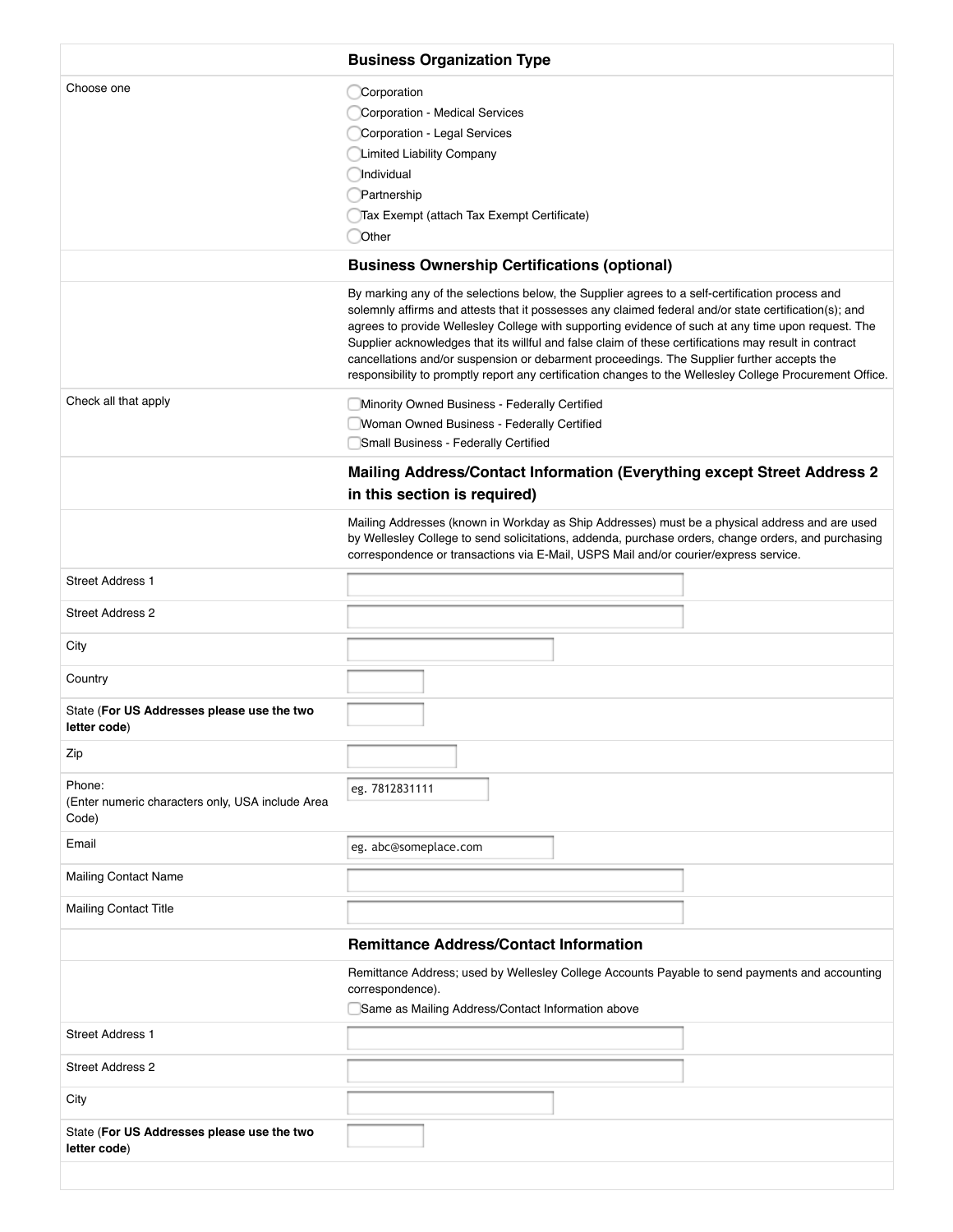|                                                                     | <b>Business Organization Type</b>                                                                                                                                                                                                                                                                                                                                                                                                                                                                                                                                                                                                 |  |
|---------------------------------------------------------------------|-----------------------------------------------------------------------------------------------------------------------------------------------------------------------------------------------------------------------------------------------------------------------------------------------------------------------------------------------------------------------------------------------------------------------------------------------------------------------------------------------------------------------------------------------------------------------------------------------------------------------------------|--|
| Choose one                                                          | Corporation<br><b>Corporation - Medical Services</b><br>Corporation - Legal Services<br><b>Limited Liability Company</b><br>Individual<br>Partnership<br>Tax Exempt (attach Tax Exempt Certificate)<br>Other                                                                                                                                                                                                                                                                                                                                                                                                                      |  |
|                                                                     | <b>Business Ownership Certifications (optional)</b>                                                                                                                                                                                                                                                                                                                                                                                                                                                                                                                                                                               |  |
|                                                                     | By marking any of the selections below, the Supplier agrees to a self-certification process and<br>solemnly affirms and attests that it possesses any claimed federal and/or state certification(s); and<br>agrees to provide Wellesley College with supporting evidence of such at any time upon request. The<br>Supplier acknowledges that its willful and false claim of these certifications may result in contract<br>cancellations and/or suspension or debarment proceedings. The Supplier further accepts the<br>responsibility to promptly report any certification changes to the Wellesley College Procurement Office. |  |
| Check all that apply                                                | Minority Owned Business - Federally Certified<br>Woman Owned Business - Federally Certified<br>Small Business - Federally Certified                                                                                                                                                                                                                                                                                                                                                                                                                                                                                               |  |
|                                                                     | Mailing Address/Contact Information (Everything except Street Address 2<br>in this section is required)                                                                                                                                                                                                                                                                                                                                                                                                                                                                                                                           |  |
|                                                                     | Mailing Addresses (known in Workday as Ship Addresses) must be a physical address and are used<br>by Wellesley College to send solicitations, addenda, purchase orders, change orders, and purchasing<br>correspondence or transactions via E-Mail, USPS Mail and/or courier/express service.                                                                                                                                                                                                                                                                                                                                     |  |
| <b>Street Address 1</b>                                             |                                                                                                                                                                                                                                                                                                                                                                                                                                                                                                                                                                                                                                   |  |
| <b>Street Address 2</b>                                             |                                                                                                                                                                                                                                                                                                                                                                                                                                                                                                                                                                                                                                   |  |
| City                                                                |                                                                                                                                                                                                                                                                                                                                                                                                                                                                                                                                                                                                                                   |  |
| Country                                                             |                                                                                                                                                                                                                                                                                                                                                                                                                                                                                                                                                                                                                                   |  |
| State (For US Addresses please use the two<br>letter code)          |                                                                                                                                                                                                                                                                                                                                                                                                                                                                                                                                                                                                                                   |  |
| Zip                                                                 |                                                                                                                                                                                                                                                                                                                                                                                                                                                                                                                                                                                                                                   |  |
| Phone:<br>(Enter numeric characters only, USA include Area<br>Code) | eg. 7812831111                                                                                                                                                                                                                                                                                                                                                                                                                                                                                                                                                                                                                    |  |
| Email                                                               | eg. abc@someplace.com                                                                                                                                                                                                                                                                                                                                                                                                                                                                                                                                                                                                             |  |
| <b>Mailing Contact Name</b>                                         |                                                                                                                                                                                                                                                                                                                                                                                                                                                                                                                                                                                                                                   |  |
| <b>Mailing Contact Title</b>                                        |                                                                                                                                                                                                                                                                                                                                                                                                                                                                                                                                                                                                                                   |  |
|                                                                     | <b>Remittance Address/Contact Information</b>                                                                                                                                                                                                                                                                                                                                                                                                                                                                                                                                                                                     |  |
|                                                                     | Remittance Address; used by Wellesley College Accounts Payable to send payments and accounting<br>correspondence).<br>Same as Mailing Address/Contact Information above                                                                                                                                                                                                                                                                                                                                                                                                                                                           |  |
| <b>Street Address 1</b>                                             |                                                                                                                                                                                                                                                                                                                                                                                                                                                                                                                                                                                                                                   |  |
| <b>Street Address 2</b>                                             |                                                                                                                                                                                                                                                                                                                                                                                                                                                                                                                                                                                                                                   |  |
| City                                                                |                                                                                                                                                                                                                                                                                                                                                                                                                                                                                                                                                                                                                                   |  |
| State (For US Addresses please use the two<br>letter code)          |                                                                                                                                                                                                                                                                                                                                                                                                                                                                                                                                                                                                                                   |  |